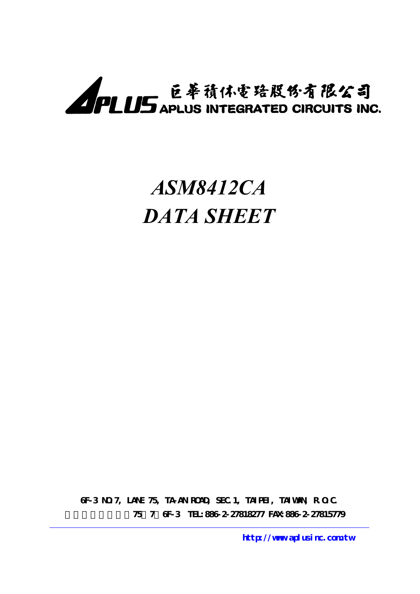# APLUS APLUS INTEGRATED CIRCUITS INC.

## *ASM8412CA DATA SHEET*

**6F-3 NO.7, LANE 75, TA-AN ROAD, SEC.1, TAIPEI, TAIWAN, R.O.C. http://www.aplusinc.com.tw/**<br> **http://www.aplusinc.com.tw**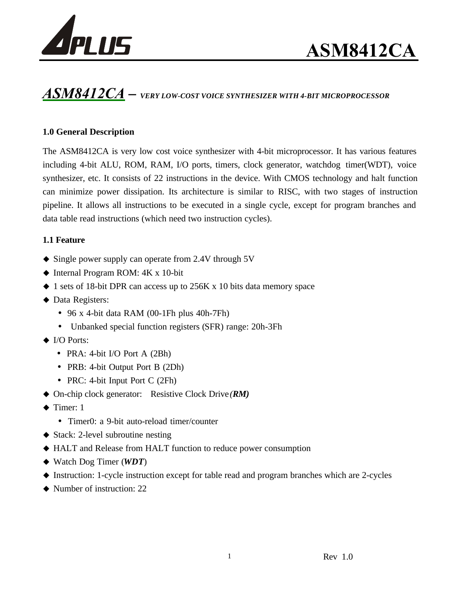

### *ASM8412CA – VERY LOW-COST VOICE SYNTHESIZER WITH 4-BIT MICROPROCESSOR*

#### **1.0 General Description**

The ASM8412CA is very low cost voice synthesizer with 4-bit microprocessor. It has various features including 4-bit ALU, ROM, RAM, I/O ports, timers, clock generator, watchdog timer(WDT), voice synthesizer, etc. It consists of 22 instructions in the device. With CMOS technology and halt function can minimize power dissipation. Its architecture is similar to RISC, with two stages of instruction pipeline. It allows all instructions to be executed in a single cycle, except for program branches and data table read instructions (which need two instruction cycles).

#### **1.1 Feature**

- $\triangle$  Single power supply can operate from 2.4V through 5V
- $\blacklozenge$  Internal Program ROM: 4K x 10-bit
- $\triangle$  1 sets of 18-bit DPR can access up to 256K x 10 bits data memory space
- $\blacklozenge$  Data Registers:
	- 96 x 4-bit data RAM (00-1Fh plus 40h-7Fh)
	- Unbanked special function registers (SFR) range: 20h-3Fh
- $\blacklozenge$  I/O Ports:
	- PRA: 4-bit I/O Port A (2Bh)
	- PRB: 4-bit Output Port B (2Dh)
	- PRC: 4-bit Input Port C (2Fh)
- ◆ On-chip clock generator: Resistive Clock Drive *(RM)*
- $\triangle$  Timer: 1
	- Timer0: a 9-bit auto-reload timer/counter
- $\triangleleft$  Stack: 2-level subroutine nesting
- ◆ HALT and Release from HALT function to reduce power consumption
- ◆ Watch Dog Timer (*WDT*)
- $\blacklozenge$  Instruction: 1-cycle instruction except for table read and program branches which are 2-cycles
- $\blacklozenge$  Number of instruction: 22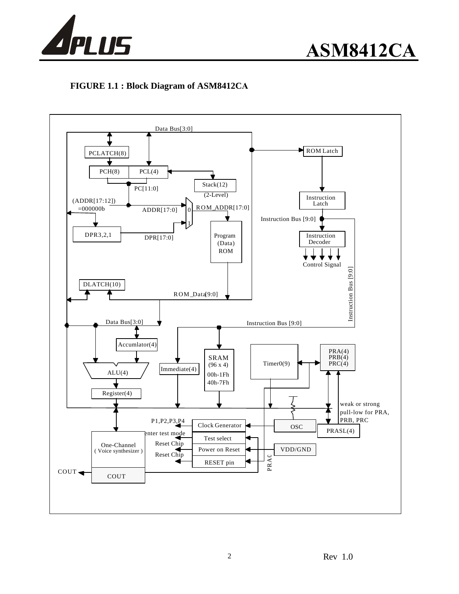

#### **FIGURE 1.1 : Block Diagram of ASM8412CA**

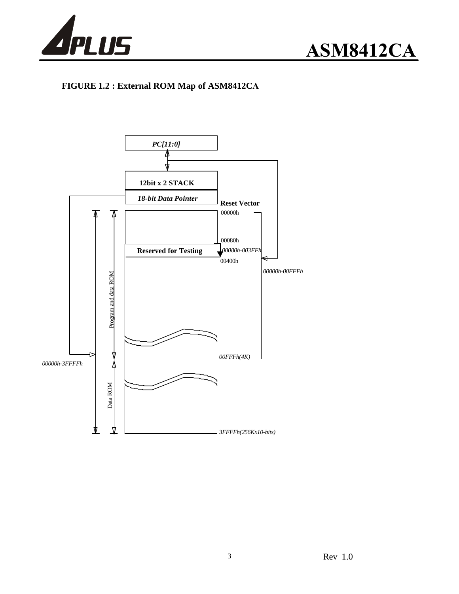



#### **FIGURE 1.2 : External ROM Map of ASM8412CA**

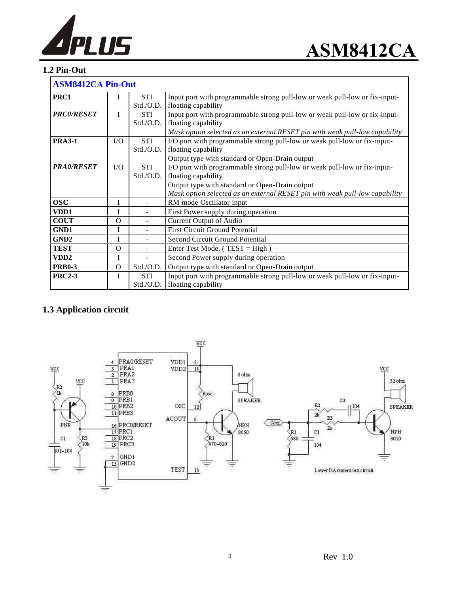

#### **1.2 Pin-Out**

| <b>ASM8412CA Pin-Out</b> |           |                          |                                                                                                                                                                                                                                   |
|--------------------------|-----------|--------------------------|-----------------------------------------------------------------------------------------------------------------------------------------------------------------------------------------------------------------------------------|
| PRC1                     |           | <b>STI</b><br>Std./O.D.  | Input port with programmable strong pull-low or weak pull-low or fix-input-<br>floating capability                                                                                                                                |
| <b>PRCO/RESET</b>        | L         | STI<br>Std./O.D.         | Input port with programmable strong pull-low or weak pull-low or fix-input-<br>floating capability<br>Mask option selected as an external RESET pin with weak pull-low capability                                                 |
| <b>PRA3-1</b>            | $\rm I/O$ | <b>STI</b><br>Std./O.D.  | I/O port with programmable strong pull-low or weak pull-low or fix-input-<br>floating capability<br>Output type with standard or Open-Drain output                                                                                |
| <b>PRAO/RESET</b>        | I/O       | <b>STI</b><br>Std./O.D.  | I/O port with programmable strong pull-low or weak pull-low or fix-input-<br>floating capability<br>Output type with standard or Open-Drain output<br>Mask option selected as an external RESET pin with weak pull-low capability |
| <b>OSC</b>               | I         |                          | RM mode Oscillator input                                                                                                                                                                                                          |
| VDD1                     | I         |                          | First Power supply during operation                                                                                                                                                                                               |
| <b>COUT</b>              | $\Omega$  | $\overline{\phantom{a}}$ | <b>Current Output of Audio</b>                                                                                                                                                                                                    |
| GND1                     | I         | $\blacksquare$           | <b>First Circuit Ground Potential</b>                                                                                                                                                                                             |
| GND <sub>2</sub>         | I         |                          | Second Circuit Ground Potential                                                                                                                                                                                                   |
| <b>TEST</b>              | $\Omega$  |                          | Enter Test Mode. ( $TEST = High$ )                                                                                                                                                                                                |
| VDD <sub>2</sub>         | I         |                          | Second Power supply during operation                                                                                                                                                                                              |
| <b>PRB0-3</b>            | $\Omega$  | Std./O.D.                | Output type with standard or Open-Drain output                                                                                                                                                                                    |
| <b>PRC2-3</b>            | I         | <b>STI</b><br>Std./O.D.  | Input port with programmable strong pull-low or weak pull-low or fix-input-<br>floating capability                                                                                                                                |

#### **1.3 Application circuit**

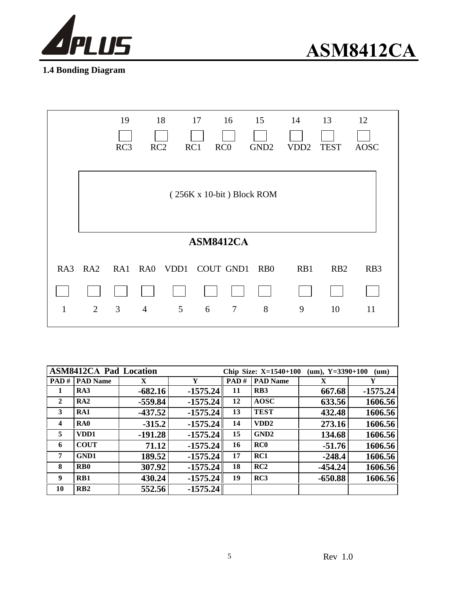



#### **1.4 Bonding Diagram**

|                           |                | 19<br>RC <sub>3</sub> | RC2            | 18             | 17<br>RC1 | 16<br>RC0 | 15<br>GND <sub>2</sub> | 14<br>VDD <sub>2</sub> | 13<br><b>TEST</b> | 12<br><b>AOSC</b> |
|---------------------------|----------------|-----------------------|----------------|----------------|-----------|-----------|------------------------|------------------------|-------------------|-------------------|
| (256K x 10-bit) Block ROM |                |                       |                |                |           |           |                        |                        |                   |                   |
|                           |                |                       |                |                | ASM8412CA |           |                        |                        |                   |                   |
| RA3                       | RA2            |                       | RA1 RA0        | VDD1 COUT GND1 |           |           | R <sub>B</sub> 0       | R <sub>B</sub> 1       | RB <sub>2</sub>   | RB3               |
| $\mathbf{1}$              | $\overline{2}$ | 3                     | $\overline{4}$ | 5              | 6         | $\tau$    | 8                      | 9                      | 10                | 11                |

| <b>ASM8412CA Pad Location</b><br>Chip Size: $X=1540+100$<br>(um), $Y=3390+100$<br>$(\mathbf{u}\mathbf{m})$ |                       |           |            |      |                  |           |            |  |
|------------------------------------------------------------------------------------------------------------|-----------------------|-----------|------------|------|------------------|-----------|------------|--|
|                                                                                                            | <b>PAD # PAD Name</b> | X         | Y          | PAD# | <b>PAD Name</b>  | X         |            |  |
| 1                                                                                                          | RA3                   | $-682.16$ | $-1575.24$ | 11   | R <sub>B</sub> 3 | 667.68    | $-1575.24$ |  |
| 2                                                                                                          | RA2                   | $-559.84$ | $-1575.24$ | 12   | <b>AOSC</b>      | 633.56    | 1606.56    |  |
| 3                                                                                                          | RA1                   | $-437.52$ | $-1575.24$ | 13   | <b>TEST</b>      | 432.48    | 1606.56    |  |
| $\overline{\mathbf{4}}$                                                                                    | R <sub>A0</sub>       | $-315.2$  | $-1575.24$ | 14   | VDD <sub>2</sub> | 273.16    | 1606.56    |  |
| 5                                                                                                          | VDD1                  | $-191.28$ | $-1575.24$ | 15   | GND <sub>2</sub> | 134.68    | 1606.56    |  |
| 6                                                                                                          | <b>COUT</b>           | 71.12     | $-1575.24$ | 16   | RC0              | $-51.76$  | 1606.56    |  |
| 7                                                                                                          | <b>GND1</b>           | 189.52    | $-1575.24$ | 17   | RC1              | $-248.4$  | 1606.56    |  |
| 8                                                                                                          | R <sub>B</sub>        | 307.92    | $-1575.24$ | 18   | RC2              | $-454.24$ | 1606.56    |  |
| 9                                                                                                          | R <sub>B</sub> 1      | 430.24    | $-1575.24$ | 19   | RC3              | $-650.88$ | 1606.56    |  |
| 10                                                                                                         | RB2                   | 552.56    | $-1575.24$ |      |                  |           |            |  |